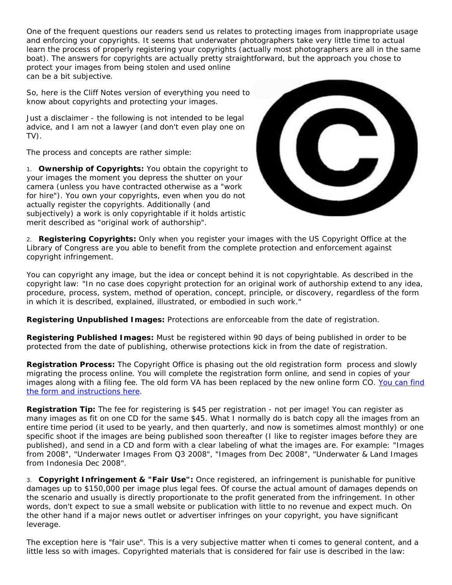One of the frequent questions our readers send us relates to protecting images from inappropriate usage and enforcing your copyrights. It seems that underwater photographers take very little time to actual learn the process of properly registering your copyrights (actually most photographers are all in the same boat). The answers for copyrights are actually pretty straightforward, but the approach you chose to protect your images from being stolen and used online can be a bit subjective.

So, here is the Cliff Notes version of everything you need to know about copyrights and protecting your images.

*Just a disclaimer - the following is not intended to be legal advice, and I am not a lawyer (and don't even play one on TV).*

The process and concepts are rather simple:

1. **Ownership of Copyrights:** You obtain the copyright to your images the moment you depress the shutter on your camera (unless you have contracted otherwise as a "work for hire"). You own your copyrights, even when you do not actually register the copyrights. Additionally (and subjectively) a work is only copyrightable if it holds artistic merit described as "original work of authorship".



2. **Registering Copyrights:** Only when you register your images with the US Copyright Office at the Library of Congress are you able to benefit from the complete protection and enforcement against copyright infringement.

You can copyright any image, but the idea or concept behind it is not copyrightable. As described in the copyright law: "In no case does copyright protection for an original work of authorship extend to any idea, procedure, process, system, method of operation, concept, principle, or discovery, regardless of the form in which it is described, explained, illustrated, or embodied in such work."

*Registering Unpublished Images:* Protections are enforceable from the date of registration.

*Registering Published Images:* Must be registered within 90 days of being published in order to be protected from the date of publishing, otherwise protections kick in from the date of registration.

*Registration Process:* The Copyright Office is phasing out the old registration form process and slowly migrating the process online. You will complete the registration form online, and send in copies of your images along with a filing fee. The old form VA has been replaced by the new online form CO. [You can find](http://www.copyright.gov/eco/)  [the form and instructions here.](http://www.copyright.gov/eco/)

**Registration Tip:** The fee for registering is \$45 per registration - not per image! You can register as many images as fit on one CD for the same \$45. What I normally do is batch copy all the images from an entire time period (it used to be yearly, and then quarterly, and now is sometimes almost monthly) or one specific shoot if the images are being published soon thereafter (I like to register images before they are published), and send in a CD and form with a clear labeling of what the images are. For example: "Images from 2008", "Underwater Images From Q3 2008", "Images from Dec 2008", "Underwater & Land Images from Indonesia Dec 2008".

3. **Copyright Infringement & "Fair Use":** Once registered, an infringement is punishable for punitive damages up to \$150,000 per image plus legal fees. Of course the actual amount of damages depends on the scenario and usually is directly proportionate to the profit generated from the infringement. In other words, don't expect to sue a small website or publication with little to no revenue and expect much. On the other hand if a major news outlet or advertiser infringes on your copyright, you have significant leverage.

The exception here is "fair use". This is a very subjective matter when ti comes to general content, and a little less so with images. Copyrighted materials that is considered for fair use is described in the law: